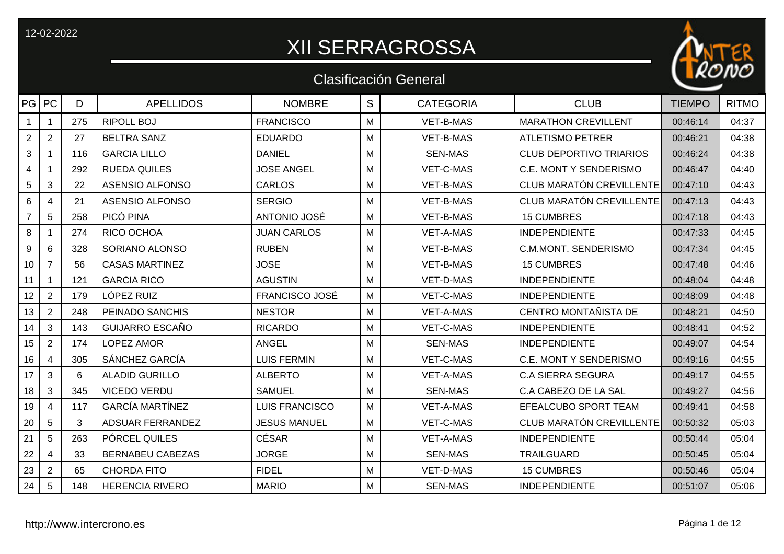## XII SERRAGROSSA

ER

 $n\phi$ 

|                 |                         |     |                         |                       |   | <b>Clasificación General</b> |                                 | RCIVO         |              |
|-----------------|-------------------------|-----|-------------------------|-----------------------|---|------------------------------|---------------------------------|---------------|--------------|
| PG PC           |                         | D   | <b>APELLIDOS</b>        | <b>NOMBRE</b>         | S | <b>CATEGORIA</b>             | <b>CLUB</b>                     | <b>TIEMPO</b> | <b>RITMO</b> |
| $\mathbf{1}$    | $\mathbf{1}$            | 275 | <b>RIPOLL BOJ</b>       | <b>FRANCISCO</b>      | M | VET-B-MAS                    | <b>MARATHON CREVILLENT</b>      | 00:46:14      | 04:37        |
| $\overline{2}$  | $\overline{2}$          | 27  | <b>BELTRA SANZ</b>      | <b>EDUARDO</b>        | M | <b>VET-B-MAS</b>             | <b>ATLETISMO PETRER</b>         | 00:46:21      | 04:38        |
| $\mathbf{3}$    | $\mathbf{1}$            | 116 | <b>GARCIA LILLO</b>     | <b>DANIEL</b>         | M | <b>SEN-MAS</b>               | <b>CLUB DEPORTIVO TRIARIOS</b>  | 00:46:24      | 04:38        |
| 4               |                         | 292 | <b>RUEDA QUILES</b>     | <b>JOSE ANGEL</b>     | м | VET-C-MAS                    | <b>C.E. MONT Y SENDERISMO</b>   | 00:46:47      | 04:40        |
| 5               | 3                       | 22  | <b>ASENSIO ALFONSO</b>  | <b>CARLOS</b>         | M | VET-B-MAS                    | <b>CLUB MARATÓN CREVILLENTE</b> | 00:47:10      | 04:43        |
| 6               | 4                       | 21  | <b>ASENSIO ALFONSO</b>  | <b>SERGIO</b>         | м | <b>VET-B-MAS</b>             | <b>CLUB MARATÓN CREVILLENTE</b> | 00:47:13      | 04:43        |
| $\overline{7}$  | 5                       | 258 | PICÓ PINA               | ANTONIO JOSÉ          | M | VET-B-MAS                    | <b>15 CUMBRES</b>               | 00:47:18      | 04:43        |
| 8               |                         | 274 | RICO OCHOA              | <b>JUAN CARLOS</b>    | M | <b>VET-A-MAS</b>             | <b>INDEPENDIENTE</b>            | 00:47:33      | 04:45        |
| 9               | 6                       | 328 | SORIANO ALONSO          | <b>RUBEN</b>          | M | VET-B-MAS                    | <b>C.M.MONT. SENDERISMO</b>     | 00:47:34      | 04:45        |
| 10 <sub>1</sub> | $\overline{7}$          | 56  | <b>CASAS MARTINEZ</b>   | <b>JOSE</b>           | M | VET-B-MAS                    | <b>15 CUMBRES</b>               | 00:47:48      | 04:46        |
| 11              | $\mathbf 1$             | 121 | <b>GARCIA RICO</b>      | <b>AGUSTIN</b>        | M | VET-D-MAS                    | <b>INDEPENDIENTE</b>            | 00:48:04      | 04:48        |
| 12 <sub>2</sub> | $\overline{2}$          | 179 | LÓPEZ RUIZ              | <b>FRANCISCO JOSÉ</b> | M | <b>VET-C-MAS</b>             | <b>INDEPENDIENTE</b>            | 00:48:09      | 04:48        |
| 13              | $\overline{2}$          | 248 | PEINADO SANCHIS         | <b>NESTOR</b>         | M | <b>VET-A-MAS</b>             | CENTRO MONTAÑISTA DE            | 00:48:21      | 04:50        |
| 14              | 3                       | 143 | <b>GUIJARRO ESCAÑO</b>  | <b>RICARDO</b>        | M | <b>VET-C-MAS</b>             | <b>INDEPENDIENTE</b>            | 00:48:41      | 04:52        |
| 15              | $\overline{2}$          | 174 | <b>LOPEZ AMOR</b>       | <b>ANGEL</b>          | M | <b>SEN-MAS</b>               | <b>INDEPENDIENTE</b>            | 00:49:07      | 04:54        |
| 16              | $\overline{4}$          | 305 | SÁNCHEZ GARCÍA          | <b>LUIS FERMIN</b>    | M | VET-C-MAS                    | <b>C.E. MONT Y SENDERISMO</b>   | 00:49:16      | 04:55        |
| 17              | 3                       | 6   | <b>ALADID GURILLO</b>   | <b>ALBERTO</b>        | M | <b>VET-A-MAS</b>             | <b>C.A SIERRA SEGURA</b>        | 00:49:17      | 04:55        |
| 18              | 3                       | 345 | <b>VICEDO VERDU</b>     | <b>SAMUEL</b>         | M | <b>SEN-MAS</b>               | C.A CABEZO DE LA SAL            | 00:49:27      | 04:56        |
| 19              | $\overline{\mathbf{4}}$ | 117 | <b>GARCÍA MARTÍNEZ</b>  | LUIS FRANCISCO        | M | VET-A-MAS                    | EFEALCUBO SPORT TEAM            | 00:49:41      | 04:58        |
| 20              | 5                       | 3   | ADSUAR FERRANDEZ        | <b>JESUS MANUEL</b>   | M | VET-C-MAS                    | CLUB MARATÓN CREVILLENTE        | 00:50:32      | 05:03        |
| 21              | 5                       | 263 | PÓRCEL QUILES           | <b>CÉSAR</b>          | M | <b>VET-A-MAS</b>             | <b>INDEPENDIENTE</b>            | 00:50:44      | 05:04        |
| 22              | 4                       | 33  | <b>BERNABEU CABEZAS</b> | <b>JORGE</b>          | м | <b>SEN-MAS</b>               | <b>TRAILGUARD</b>               | 00:50:45      | 05:04        |
| 23              | $\overline{2}$          | 65  | <b>CHORDA FITO</b>      | <b>FIDEL</b>          | M | VET-D-MAS                    | <b>15 CUMBRES</b>               | 00:50:46      | 05:04        |
| 24              | 5                       | 148 | <b>HERENCIA RIVERO</b>  | <b>MARIO</b>          | м | <b>SEN-MAS</b>               | <b>INDEPENDIENTE</b>            | 00:51:07      | 05:06        |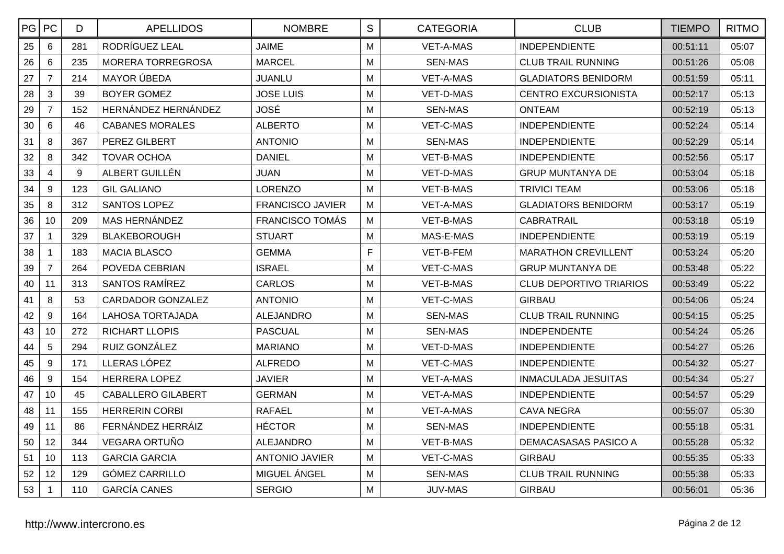| PG PC |                | D   | <b>APELLIDOS</b>          | <b>NOMBRE</b>           | $\mathsf S$ | <b>CATEGORIA</b> | <b>CLUB</b>                    | <b>TIEMPO</b> | <b>RITMO</b> |
|-------|----------------|-----|---------------------------|-------------------------|-------------|------------------|--------------------------------|---------------|--------------|
| 25    | 6              | 281 | RODRÍGUEZ LEAL            | <b>JAIME</b>            | M           | <b>VET-A-MAS</b> | <b>INDEPENDIENTE</b>           | 00:51:11      | 05:07        |
| 26    | 6              | 235 | MORERA TORREGROSA         | <b>MARCEL</b>           | M           | <b>SEN-MAS</b>   | <b>CLUB TRAIL RUNNING</b>      | 00:51:26      | 05:08        |
| 27    | $\overline{7}$ | 214 | <b>MAYOR ÚBEDA</b>        | <b>JUANLU</b>           | M           | <b>VET-A-MAS</b> | <b>GLADIATORS BENIDORM</b>     | 00:51:59      | 05:11        |
| 28    | 3              | 39  | BOYER GOMEZ               | <b>JOSE LUIS</b>        | M           | VET-D-MAS        | <b>CENTRO EXCURSIONISTA</b>    | 00:52:17      | 05:13        |
| 29    | $\overline{7}$ | 152 | HERNÁNDEZ HERNÁNDEZ       | <b>JOSÉ</b>             | M           | <b>SEN-MAS</b>   | <b>ONTEAM</b>                  | 00:52:19      | 05:13        |
| 30    | $6\phantom{1}$ | 46  | <b>CABANES MORALES</b>    | <b>ALBERTO</b>          | M           | <b>VET-C-MAS</b> | <b>INDEPENDIENTE</b>           | 00:52:24      | 05:14        |
| 31    | 8              | 367 | PEREZ GILBERT             | <b>ANTONIO</b>          | M           | <b>SEN-MAS</b>   | <b>INDEPENDIENTE</b>           | 00:52:29      | 05:14        |
| 32    | 8              | 342 | <b>TOVAR OCHOA</b>        | <b>DANIEL</b>           | M           | <b>VET-B-MAS</b> | <b>INDEPENDIENTE</b>           | 00:52:56      | 05:17        |
| 33    | $\overline{4}$ | 9   | ALBERT GUILLÉN            | <b>JUAN</b>             | M           | VET-D-MAS        | <b>GRUP MUNTANYA DE</b>        | 00:53:04      | 05:18        |
| 34    | 9              | 123 | <b>GIL GALIANO</b>        | <b>LORENZO</b>          | M           | VET-B-MAS        | <b>TRIVICI TEAM</b>            | 00:53:06      | 05:18        |
| 35    | 8              | 312 | <b>SANTOS LOPEZ</b>       | <b>FRANCISCO JAVIER</b> | M           | <b>VET-A-MAS</b> | <b>GLADIATORS BENIDORM</b>     | 00:53:17      | 05:19        |
| 36    | 10             | 209 | <b>MAS HERNÁNDEZ</b>      | <b>FRANCISCO TOMÁS</b>  | М           | VET-B-MAS        | <b>CABRATRAIL</b>              | 00:53:18      | 05:19        |
| 37    | $\mathbf 1$    | 329 | <b>BLAKEBOROUGH</b>       | <b>STUART</b>           | M           | MAS-E-MAS        | <b>INDEPENDIENTE</b>           | 00:53:19      | 05:19        |
| 38    | $\mathbf{1}$   | 183 | <b>MACIA BLASCO</b>       | <b>GEMMA</b>            | F           | VET-B-FEM        | <b>MARATHON CREVILLENT</b>     | 00:53:24      | 05:20        |
| 39    | $\overline{7}$ | 264 | POVEDA CEBRIAN            | <b>ISRAEL</b>           | M           | VET-C-MAS        | <b>GRUP MUNTANYA DE</b>        | 00:53:48      | 05:22        |
| 40    | 11             | 313 | SANTOS RAMÍREZ            | <b>CARLOS</b>           | M           | VET-B-MAS        | <b>CLUB DEPORTIVO TRIARIOS</b> | 00:53:49      | 05:22        |
| 41    | 8              | 53  | <b>CARDADOR GONZALEZ</b>  | <b>ANTONIO</b>          | M           | VET-C-MAS        | <b>GIRBAU</b>                  | 00:54:06      | 05:24        |
| 42    | 9              | 164 | LAHOSA TORTAJADA          | <b>ALEJANDRO</b>        | M           | <b>SEN-MAS</b>   | <b>CLUB TRAIL RUNNING</b>      | 00:54:15      | 05:25        |
| 43    | 10             | 272 | <b>RICHART LLOPIS</b>     | <b>PASCUAL</b>          | M           | <b>SEN-MAS</b>   | <b>INDEPENDENTE</b>            | 00:54:24      | 05:26        |
| 44    | 5              | 294 | RUIZ GONZÁLEZ             | <b>MARIANO</b>          | M           | VET-D-MAS        | <b>INDEPENDIENTE</b>           | 00:54:27      | 05:26        |
| 45    | 9              | 171 | LLERAS LÓPEZ              | <b>ALFREDO</b>          | M           | VET-C-MAS        | <b>INDEPENDIENTE</b>           | 00:54:32      | 05:27        |
| 46    | 9              | 154 | <b>HERRERA LOPEZ</b>      | JAVIER                  | M           | VET-A-MAS        | <b>INMACULADA JESUITAS</b>     | 00:54:34      | 05:27        |
| 47    | 10             | 45  | <b>CABALLERO GILABERT</b> | <b>GERMAN</b>           | M           | VET-A-MAS        | <b>INDEPENDIENTE</b>           | 00:54:57      | 05:29        |
| 48    | 11             | 155 | <b>HERRERIN CORBI</b>     | <b>RAFAEL</b>           | M           | VET-A-MAS        | <b>CAVA NEGRA</b>              | 00:55:07      | 05:30        |
| 49    | 11             | 86  | FERNÁNDEZ HERRÁIZ         | <b>HÉCTOR</b>           | M           | <b>SEN-MAS</b>   | <b>INDEPENDIENTE</b>           | 00:55:18      | 05:31        |
| 50    | 12             | 344 | VEGARA ORTUÑO             | <b>ALEJANDRO</b>        | M           | VET-B-MAS        | DEMACASASAS PASICO A           | 00:55:28      | 05:32        |
| 51    | 10             | 113 | <b>GARCIA GARCIA</b>      | <b>ANTONIO JAVIER</b>   | M           | <b>VET-C-MAS</b> | <b>GIRBAU</b>                  | 00:55:35      | 05:33        |
| 52    | 12             | 129 | <b>GÓMEZ CARRILLO</b>     | MIGUEL ÁNGEL            | M           | <b>SEN-MAS</b>   | <b>CLUB TRAIL RUNNING</b>      | 00:55:38      | 05:33        |
| 53    |                | 110 | <b>GARCÍA CANES</b>       | <b>SERGIO</b>           | M           | <b>JUV-MAS</b>   | <b>GIRBAU</b>                  | 00:56:01      | 05:36        |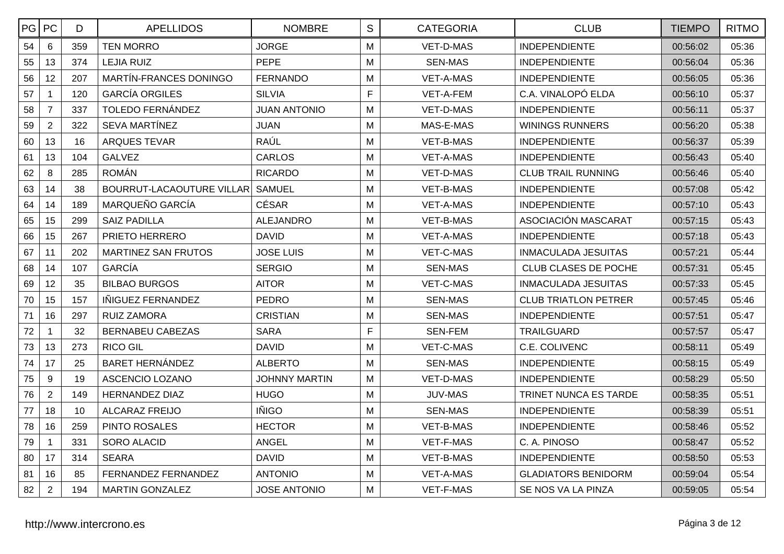| PG | PC             | D   | <b>APELLIDOS</b>                 | <b>NOMBRE</b>        | S            | <b>CATEGORIA</b> | <b>CLUB</b>                 | <b>TIEMPO</b> | <b>RITMO</b> |
|----|----------------|-----|----------------------------------|----------------------|--------------|------------------|-----------------------------|---------------|--------------|
| 54 | 6              | 359 | <b>TEN MORRO</b>                 | <b>JORGE</b>         | M            | <b>VET-D-MAS</b> | <b>INDEPENDIENTE</b>        | 00:56:02      | 05:36        |
| 55 | 13             | 374 | <b>LEJIA RUIZ</b>                | <b>PEPE</b>          | M            | <b>SEN-MAS</b>   | <b>INDEPENDIENTE</b>        | 00:56:04      | 05:36        |
| 56 | 12             | 207 | MARTÍN-FRANCES DONINGO           | <b>FERNANDO</b>      | M            | <b>VET-A-MAS</b> | <b>INDEPENDIENTE</b>        | 00:56:05      | 05:36        |
| 57 | $\mathbf{1}$   | 120 | <b>GARCÍA ORGILES</b>            | <b>SILVIA</b>        | $\mathsf{F}$ | VET-A-FEM        | C.A. VINALOPÓ ELDA          | 00:56:10      | 05:37        |
| 58 | $\overline{7}$ | 337 | <b>TOLEDO FERNÁNDEZ</b>          | <b>JUAN ANTONIO</b>  | M            | <b>VET-D-MAS</b> | <b>INDEPENDIENTE</b>        | 00:56:11      | 05:37        |
| 59 | $\overline{2}$ | 322 | <b>SEVA MARTÍNEZ</b>             | <b>JUAN</b>          | M            | MAS-E-MAS        | <b>WININGS RUNNERS</b>      | 00:56:20      | 05:38        |
| 60 | 13             | 16  | <b>ARQUES TEVAR</b>              | RAÚL                 | M            | VET-B-MAS        | <b>INDEPENDIENTE</b>        | 00:56:37      | 05:39        |
| 61 | 13             | 104 | <b>GALVEZ</b>                    | <b>CARLOS</b>        | M            | VET-A-MAS        | <b>INDEPENDIENTE</b>        | 00:56:43      | 05:40        |
| 62 | 8              | 285 | <b>ROMÁN</b>                     | <b>RICARDO</b>       | M            | VET-D-MAS        | <b>CLUB TRAIL RUNNING</b>   | 00:56:46      | 05:40        |
| 63 | 14             | 38  | <b>BOURRUT-LACAOUTURE VILLAR</b> | <b>SAMUEL</b>        | M            | <b>VET-B-MAS</b> | <b>INDEPENDIENTE</b>        | 00:57:08      | 05:42        |
| 64 | 14             | 189 | MARQUEÑO GARCÍA                  | <b>CÉSAR</b>         | M            | <b>VET-A-MAS</b> | <b>INDEPENDIENTE</b>        | 00:57:10      | 05:43        |
| 65 | 15             | 299 | <b>SAIZ PADILLA</b>              | <b>ALEJANDRO</b>     | M            | VET-B-MAS        | ASOCIACIÓN MASCARAT         | 00:57:15      | 05:43        |
| 66 | 15             | 267 | PRIETO HERRERO                   | <b>DAVID</b>         | M            | <b>VET-A-MAS</b> | <b>INDEPENDIENTE</b>        | 00:57:18      | 05:43        |
| 67 | 11             | 202 | <b>MARTINEZ SAN FRUTOS</b>       | <b>JOSE LUIS</b>     | M            | VET-C-MAS        | <b>INMACULADA JESUITAS</b>  | 00:57:21      | 05:44        |
| 68 | 14             | 107 | <b>GARCÍA</b>                    | <b>SERGIO</b>        | M            | <b>SEN-MAS</b>   | <b>CLUB CLASES DE POCHE</b> | 00:57:31      | 05:45        |
| 69 | 12             | 35  | <b>BILBAO BURGOS</b>             | <b>AITOR</b>         | M            | <b>VET-C-MAS</b> | <b>INMACULADA JESUITAS</b>  | 00:57:33      | 05:45        |
| 70 | 15             | 157 | IÑIGUEZ FERNANDEZ                | <b>PEDRO</b>         | M            | <b>SEN-MAS</b>   | <b>CLUB TRIATLON PETRER</b> | 00:57:45      | 05:46        |
| 71 | 16             | 297 | <b>RUIZ ZAMORA</b>               | <b>CRISTIAN</b>      | M            | <b>SEN-MAS</b>   | <b>INDEPENDIENTE</b>        | 00:57:51      | 05:47        |
| 72 | $\overline{1}$ | 32  | <b>BERNABEU CABEZAS</b>          | <b>SARA</b>          | F            | <b>SEN-FEM</b>   | <b>TRAILGUARD</b>           | 00:57:57      | 05:47        |
| 73 | 13             | 273 | <b>RICO GIL</b>                  | <b>DAVID</b>         | M            | VET-C-MAS        | C.E. COLIVENC               | 00:58:11      | 05:49        |
| 74 | 17             | 25  | <b>BARET HERNÁNDEZ</b>           | <b>ALBERTO</b>       | M            | <b>SEN-MAS</b>   | <b>INDEPENDIENTE</b>        | 00:58:15      | 05:49        |
| 75 | 9              | 19  | ASCENCIO LOZANO                  | <b>JOHNNY MARTIN</b> | M            | VET-D-MAS        | <b>INDEPENDIENTE</b>        | 00:58:29      | 05:50        |
| 76 | $\overline{2}$ | 149 | <b>HERNANDEZ DIAZ</b>            | <b>HUGO</b>          | M            | <b>JUV-MAS</b>   | TRINET NUNCA ES TARDE       | 00:58:35      | 05:51        |
| 77 | 18             | 10  | <b>ALCARAZ FREIJO</b>            | <b>IÑIGO</b>         | M            | <b>SEN-MAS</b>   | <b>INDEPENDIENTE</b>        | 00:58:39      | 05:51        |
| 78 | 16             | 259 | PINTO ROSALES                    | <b>HECTOR</b>        | M            | VET-B-MAS        | <b>INDEPENDIENTE</b>        | 00:58:46      | 05:52        |
| 79 | $\mathbf{1}$   | 331 | <b>SORO ALACID</b>               | <b>ANGEL</b>         | M            | VET-F-MAS        | C. A. PINOSO                | 00:58:47      | 05:52        |
| 80 | 17             | 314 | <b>SEARA</b>                     | <b>DAVID</b>         | M            | <b>VET-B-MAS</b> | <b>INDEPENDIENTE</b>        | 00:58:50      | 05:53        |
| 81 | 16             | 85  | FERNANDEZ FERNANDEZ              | <b>ANTONIO</b>       | M            | VET-A-MAS        | <b>GLADIATORS BENIDORM</b>  | 00:59:04      | 05:54        |
| 82 | $\overline{2}$ | 194 | <b>MARTIN GONZALEZ</b>           | <b>JOSE ANTONIO</b>  | M            | VET-F-MAS        | SE NOS VA LA PINZA          | 00:59:05      | 05:54        |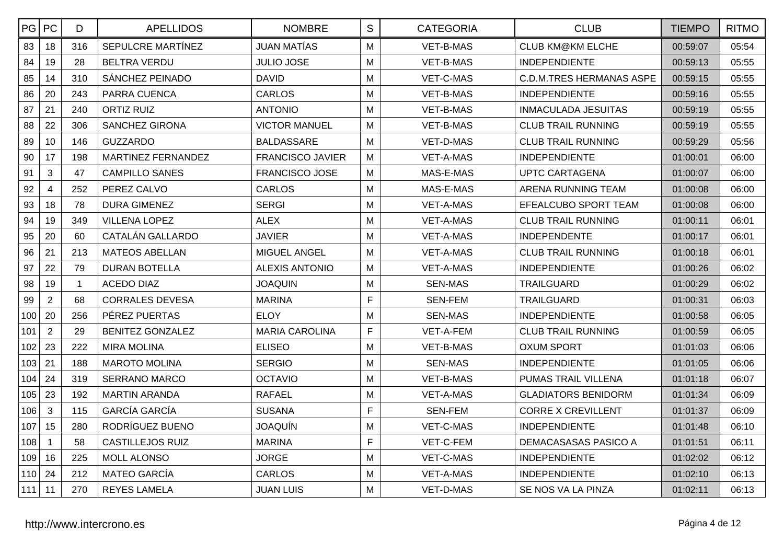| PG PC |                | D.          | <b>APELLIDOS</b>        | <b>NOMBRE</b>           | $\mathbf S$ | <b>CATEGORIA</b> | <b>CLUB</b>                     | <b>TIEMPO</b> | <b>RITMO</b> |
|-------|----------------|-------------|-------------------------|-------------------------|-------------|------------------|---------------------------------|---------------|--------------|
| 83    | 18             | 316         | SEPULCRE MARTÍNEZ       | <b>JUAN MATÍAS</b>      | M           | <b>VET-B-MAS</b> | <b>CLUB KM@KM ELCHE</b>         | 00:59:07      | 05:54        |
| 84    | 19             | 28          | <b>BELTRA VERDU</b>     | <b>JULIO JOSE</b>       | M           | VET-B-MAS        | <b>INDEPENDIENTE</b>            | 00:59:13      | 05:55        |
| 85    | 14             | 310         | SÁNCHEZ PEINADO         | <b>DAVID</b>            | M           | VET-C-MAS        | <b>C.D.M.TRES HERMANAS ASPE</b> | 00:59:15      | 05:55        |
| 86    | 20             | 243         | PARRA CUENCA            | <b>CARLOS</b>           | M           | VET-B-MAS        | <b>INDEPENDIENTE</b>            | 00:59:16      | 05:55        |
| 87    | 21             | 240         | <b>ORTIZ RUIZ</b>       | <b>ANTONIO</b>          | M           | VET-B-MAS        | INMACULADA JESUITAS             | 00:59:19      | 05:55        |
| 88    | 22             | 306         | <b>SANCHEZ GIRONA</b>   | <b>VICTOR MANUEL</b>    | M           | VET-B-MAS        | <b>CLUB TRAIL RUNNING</b>       | 00:59:19      | 05:55        |
| 89    | 10             | 146         | <b>GUZZARDO</b>         | <b>BALDASSARE</b>       | M           | VET-D-MAS        | <b>CLUB TRAIL RUNNING</b>       | 00:59:29      | 05:56        |
| 90    | 17             | 198         | MARTINEZ FERNANDEZ      | <b>FRANCISCO JAVIER</b> | M           | VET-A-MAS        | <b>INDEPENDIENTE</b>            | 01:00:01      | 06:00        |
| 91    | 3              | 47          | <b>CAMPILLO SANES</b>   | <b>FRANCISCO JOSE</b>   | M           | MAS-E-MAS        | UPTC CARTAGENA                  | 01:00:07      | 06:00        |
| 92    | $\overline{4}$ | 252         | PEREZ CALVO             | <b>CARLOS</b>           | M           | MAS-E-MAS        | ARENA RUNNING TEAM              | 01:00:08      | 06:00        |
| 93    | 18             | 78          | DURA GIMENEZ            | <b>SERGI</b>            | M           | VET-A-MAS        | EFEALCUBO SPORT TEAM            | 01:00:08      | 06:00        |
| 94    | 19             | 349         | <b>VILLENA LOPEZ</b>    | <b>ALEX</b>             | M           | VET-A-MAS        | <b>CLUB TRAIL RUNNING</b>       | 01:00:11      | 06:01        |
| 95    | 20             | 60          | CATALÁN GALLARDO        | <b>JAVIER</b>           | M           | VET-A-MAS        | <b>INDEPENDENTE</b>             | 01:00:17      | 06:01        |
| 96    | 21             | 213         | <b>MATEOS ABELLAN</b>   | <b>MIGUEL ANGEL</b>     | M           | VET-A-MAS        | <b>CLUB TRAIL RUNNING</b>       | 01:00:18      | 06:01        |
| 97    | 22             | 79          | <b>DURAN BOTELLA</b>    | ALEXIS ANTONIO          | M           | <b>VET-A-MAS</b> | <b>INDEPENDIENTE</b>            | 01:00:26      | 06:02        |
| 98    | 19             | $\mathbf 1$ | ACEDO DIAZ              | <b>JOAQUIN</b>          | M           | <b>SEN-MAS</b>   | <b>TRAILGUARD</b>               | 01:00:29      | 06:02        |
| 99    | $\overline{2}$ | 68          | <b>CORRALES DEVESA</b>  | <b>MARINA</b>           | F           | <b>SEN-FEM</b>   | <b>TRAILGUARD</b>               | 01:00:31      | 06:03        |
| 100   | 20             | 256         | PÉREZ PUERTAS           | <b>ELOY</b>             | M           | <b>SEN-MAS</b>   | <b>INDEPENDIENTE</b>            | 01:00:58      | 06:05        |
| 101   | $\overline{2}$ | 29          | <b>BENITEZ GONZALEZ</b> | <b>MARIA CAROLINA</b>   | F           | VET-A-FEM        | <b>CLUB TRAIL RUNNING</b>       | 01:00:59      | 06:05        |
| 102   | 23             | 222         | <b>MIRA MOLINA</b>      | <b>ELISEO</b>           | M           | VET-B-MAS        | <b>OXUM SPORT</b>               | 01:01:03      | 06:06        |
| 103   | 21             | 188         | <b>MAROTO MOLINA</b>    | <b>SERGIO</b>           | M           | <b>SEN-MAS</b>   | <b>INDEPENDIENTE</b>            | 01:01:05      | 06:06        |
| 104   | 24             | 319         | <b>SERRANO MARCO</b>    | <b>OCTAVIO</b>          | M           | VET-B-MAS        | PUMAS TRAIL VILLENA             | 01:01:18      | 06:07        |
| 105   | 23             | 192         | <b>MARTIN ARANDA</b>    | <b>RAFAEL</b>           | M           | VET-A-MAS        | <b>GLADIATORS BENIDORM</b>      | 01:01:34      | 06:09        |
| 106   | 3              | 115         | <b>GARCÍA GARCÍA</b>    | <b>SUSANA</b>           | F           | SEN-FEM          | <b>CORRE X CREVILLENT</b>       | 01:01:37      | 06:09        |
| 107   | 15             | 280         | RODRÍGUEZ BUENO         | <b>JOAQUÍN</b>          | M           | VET-C-MAS        | <b>INDEPENDIENTE</b>            | 01:01:48      | 06:10        |
| 108   | $\mathbf{1}$   | 58          | <b>CASTILLEJOS RUIZ</b> | <b>MARINA</b>           | F           | VET-C-FEM        | <b>DEMACASASAS PASICO A</b>     | 01:01:51      | 06:11        |
| 109   | 16             | 225         | <b>MOLL ALONSO</b>      | <b>JORGE</b>            | M           | VET-C-MAS        | <b>INDEPENDIENTE</b>            | 01:02:02      | 06:12        |
| 110   | 24             | 212         | <b>MATEO GARCÍA</b>     | <b>CARLOS</b>           | M           | VET-A-MAS        | <b>INDEPENDIENTE</b>            | 01:02:10      | 06:13        |
| 111   | 11             | 270         | <b>REYES LAMELA</b>     | <b>JUAN LUIS</b>        | M           | VET-D-MAS        | SE NOS VA LA PINZA              | 01:02:11      | 06:13        |
|       |                |             |                         |                         |             |                  |                                 |               |              |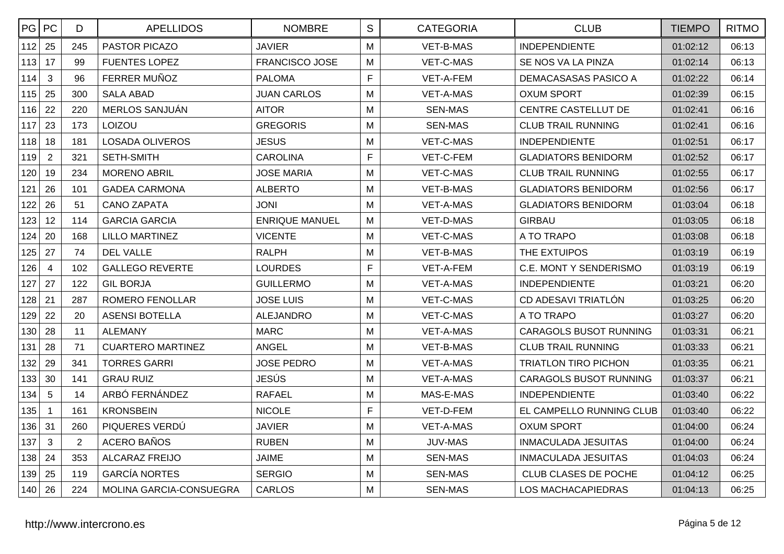| PG PC |                | D              | <b>APELLIDOS</b>         | <b>NOMBRE</b>         | S | <b>CATEGORIA</b> | <b>CLUB</b>                   | <b>TIEMPO</b> | <b>RITMO</b> |
|-------|----------------|----------------|--------------------------|-----------------------|---|------------------|-------------------------------|---------------|--------------|
| 112   | 25             | 245            | PASTOR PICAZO            | <b>JAVIER</b>         | M | <b>VET-B-MAS</b> | <b>INDEPENDIENTE</b>          | 01:02:12      | 06:13        |
| 113   | 17             | 99             | <b>FUENTES LOPEZ</b>     | <b>FRANCISCO JOSE</b> | M | VET-C-MAS        | SE NOS VA LA PINZA            | 01:02:14      | 06:13        |
| 114   | 3              | 96             | FERRER MUÑOZ             | <b>PALOMA</b>         | F | VET-A-FEM        | DEMACASASAS PASICO A          | 01:02:22      | 06:14        |
| 115   | 25             | 300            | <b>SALA ABAD</b>         | <b>JUAN CARLOS</b>    | M | VET-A-MAS        | OXUM SPORT                    | 01:02:39      | 06:15        |
| 116   | 22             | 220            | MERLOS SANJUÁN           | <b>AITOR</b>          | M | <b>SEN-MAS</b>   | <b>CENTRE CASTELLUT DE</b>    | 01:02:41      | 06:16        |
| 117   | 23             | 173            | LOIZOU                   | <b>GREGORIS</b>       | M | <b>SEN-MAS</b>   | <b>CLUB TRAIL RUNNING</b>     | 01:02:41      | 06:16        |
| 118   | 18             | 181            | <b>LOSADA OLIVEROS</b>   | <b>JESUS</b>          | M | VET-C-MAS        | <b>INDEPENDIENTE</b>          | 01:02:51      | 06:17        |
| 119   | $\overline{2}$ | 321            | SETH-SMITH               | <b>CAROLINA</b>       | F | VET-C-FEM        | <b>GLADIATORS BENIDORM</b>    | 01:02:52      | 06:17        |
| 120   | 19             | 234            | <b>MORENO ABRIL</b>      | <b>JOSE MARIA</b>     | M | VET-C-MAS        | <b>CLUB TRAIL RUNNING</b>     | 01:02:55      | 06:17        |
| 121   | 26             | 101            | <b>GADEA CARMONA</b>     | <b>ALBERTO</b>        | M | VET-B-MAS        | <b>GLADIATORS BENIDORM</b>    | 01:02:56      | 06:17        |
| 122   | 26             | 51             | <b>CANO ZAPATA</b>       | <b>JONI</b>           | M | VET-A-MAS        | <b>GLADIATORS BENIDORM</b>    | 01:03:04      | 06:18        |
| 123   | 12             | 114            | <b>GARCIA GARCIA</b>     | <b>ENRIQUE MANUEL</b> | M | VET-D-MAS        | <b>GIRBAU</b>                 | 01:03:05      | 06:18        |
| 124   | 20             | 168            | <b>LILLO MARTINEZ</b>    | <b>VICENTE</b>        | M | VET-C-MAS        | A TO TRAPO                    | 01:03:08      | 06:18        |
| 125   | 27             | 74             | <b>DEL VALLE</b>         | <b>RALPH</b>          | M | VET-B-MAS        | THE EXTUIPOS                  | 01:03:19      | 06:19        |
| 126   | $\overline{4}$ | 102            | <b>GALLEGO REVERTE</b>   | <b>LOURDES</b>        | F | VET-A-FEM        | <b>C.E. MONT Y SENDERISMO</b> | 01:03:19      | 06:19        |
| 127   | 27             | 122            | <b>GIL BORJA</b>         | <b>GUILLERMO</b>      | M | VET-A-MAS        | <b>INDEPENDIENTE</b>          | 01:03:21      | 06:20        |
| 128   | 21             | 287            | <b>ROMERO FENOLLAR</b>   | <b>JOSE LUIS</b>      | M | <b>VET-C-MAS</b> | CD ADESAVI TRIATLÓN           | 01:03:25      | 06:20        |
| 129   | 22             | 20             | <b>ASENSI BOTELLA</b>    | <b>ALEJANDRO</b>      | M | VET-C-MAS        | A TO TRAPO                    | 01:03:27      | 06:20        |
| 130   | 28             | 11             | <b>ALEMANY</b>           | <b>MARC</b>           | M | VET-A-MAS        | <b>CARAGOLS BUSOT RUNNING</b> | 01:03:31      | 06:21        |
| 131   | 28             | 71             | <b>CUARTERO MARTINEZ</b> | <b>ANGEL</b>          | M | VET-B-MAS        | <b>CLUB TRAIL RUNNING</b>     | 01:03:33      | 06:21        |
| 132   | 29             | 341            | <b>TORRES GARRI</b>      | <b>JOSE PEDRO</b>     | M | VET-A-MAS        | <b>TRIATLON TIRO PICHON</b>   | 01:03:35      | 06:21        |
| 133   | 30             | 141            | <b>GRAU RUIZ</b>         | <b>JESÚS</b>          | M | VET-A-MAS        | CARAGOLS BUSOT RUNNING        | 01:03:37      | 06:21        |
| 134   | 5              | 14             | ARBÓ FERNÁNDEZ           | <b>RAFAEL</b>         | M | MAS-E-MAS        | <b>INDEPENDIENTE</b>          | 01:03:40      | 06:22        |
| 135   | $\mathbf{1}$   | 161            | <b>KRONSBEIN</b>         | <b>NICOLE</b>         | F | VET-D-FEM        | EL CAMPELLO RUNNING CLUB      | 01:03:40      | 06:22        |
| 136   | 31             | 260            | PIQUERES VERDÚ           | <b>JAVIER</b>         | M | VET-A-MAS        | <b>OXUM SPORT</b>             | 01:04:00      | 06:24        |
| 137   | $\mathbf{3}$   | $\overline{2}$ | <b>ACERO BAÑOS</b>       | <b>RUBEN</b>          | M | <b>JUV-MAS</b>   | <b>INMACULADA JESUITAS</b>    | 01:04:00      | 06:24        |
| 138   | 24             | 353            | <b>ALCARAZ FREIJO</b>    | <b>JAIME</b>          | M | <b>SEN-MAS</b>   | INMACULADA JESUITAS           | 01:04:03      | 06:24        |
| 139   | 25             | 119            | <b>GARCÍA NORTES</b>     | <b>SERGIO</b>         | M | SEN-MAS          | <b>CLUB CLASES DE POCHE</b>   | 01:04:12      | 06:25        |
| 140   | 26             | 224            | MOLINA GARCIA-CONSUEGRA  | <b>CARLOS</b>         | M | <b>SEN-MAS</b>   | LOS MACHACAPIEDRAS            | 01:04:13      | 06:25        |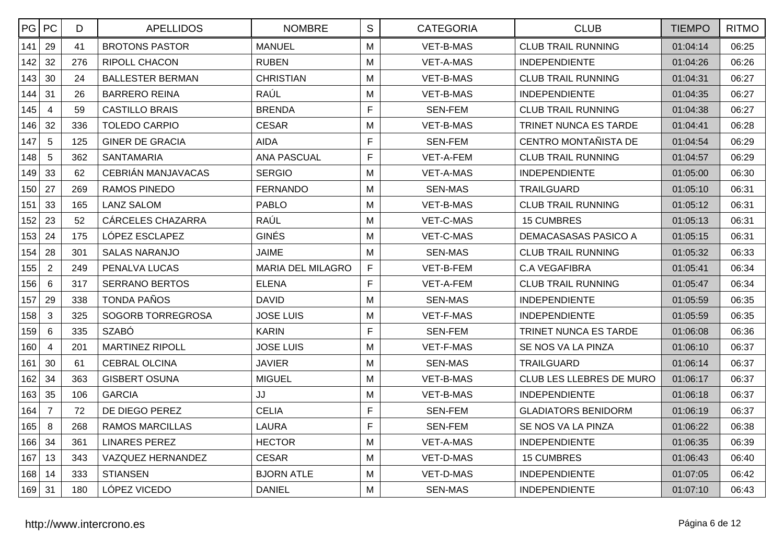| PG  | <b>PC</b>      | D   | <b>APELLIDOS</b>        | <b>NOMBRE</b>            | S            | <b>CATEGORIA</b> | <b>CLUB</b>                  | <b>TIEMPO</b> | <b>RITMO</b> |
|-----|----------------|-----|-------------------------|--------------------------|--------------|------------------|------------------------------|---------------|--------------|
| 141 | 29             | 41  | <b>BROTONS PASTOR</b>   | <b>MANUEL</b>            | M            | <b>VET-B-MAS</b> | <b>CLUB TRAIL RUNNING</b>    | 01:04:14      | 06:25        |
| 142 | 32             | 276 | <b>RIPOLL CHACON</b>    | <b>RUBEN</b>             | M            | VET-A-MAS        | <b>INDEPENDIENTE</b>         | 01:04:26      | 06:26        |
| 143 | 30             | 24  | <b>BALLESTER BERMAN</b> | <b>CHRISTIAN</b>         | M            | <b>VET-B-MAS</b> | <b>CLUB TRAIL RUNNING</b>    | 01:04:31      | 06:27        |
| 144 | 31             | 26  | <b>BARRERO REINA</b>    | RAÚL                     | M            | VET-B-MAS        | <b>INDEPENDIENTE</b>         | 01:04:35      | 06:27        |
| 145 | $\overline{4}$ | 59  | <b>CASTILLO BRAIS</b>   | <b>BRENDA</b>            | F            | <b>SEN-FEM</b>   | <b>CLUB TRAIL RUNNING</b>    | 01:04:38      | 06:27        |
| 146 | 32             | 336 | <b>TOLEDO CARPIO</b>    | <b>CESAR</b>             | M            | VET-B-MAS        | <b>TRINET NUNCA ES TARDE</b> | 01:04:41      | 06:28        |
| 147 | 5              | 125 | <b>GINER DE GRACIA</b>  | AIDA                     | F            | <b>SEN-FEM</b>   | CENTRO MONTAÑISTA DE         | 01:04:54      | 06:29        |
| 148 | 5              | 362 | <b>SANTAMARIA</b>       | <b>ANA PASCUAL</b>       | F            | VET-A-FEM        | <b>CLUB TRAIL RUNNING</b>    | 01:04:57      | 06:29        |
| 149 | 33             | 62  | CEBRIÁN MANJAVACAS      | <b>SERGIO</b>            | M            | <b>VET-A-MAS</b> | <b>INDEPENDIENTE</b>         | 01:05:00      | 06:30        |
| 150 | 27             | 269 | <b>RAMOS PINEDO</b>     | <b>FERNANDO</b>          | M            | <b>SEN-MAS</b>   | <b>TRAILGUARD</b>            | 01:05:10      | 06:31        |
| 151 | 33             | 165 | <b>LANZ SALOM</b>       | <b>PABLO</b>             | M            | <b>VET-B-MAS</b> | <b>CLUB TRAIL RUNNING</b>    | 01:05:12      | 06:31        |
| 152 | 23             | 52  | CÁRCELES CHAZARRA       | RAÚL                     | M            | VET-C-MAS        | <b>15 CUMBRES</b>            | 01:05:13      | 06:31        |
| 153 | 24             | 175 | LÓPEZ ESCLAPEZ          | <b>GINÉS</b>             | M            | VET-C-MAS        | DEMACASASAS PASICO A         | 01:05:15      | 06:31        |
| 154 | 28             | 301 | <b>SALAS NARANJO</b>    | <b>JAIME</b>             | M            | <b>SEN-MAS</b>   | <b>CLUB TRAIL RUNNING</b>    | 01:05:32      | 06:33        |
| 155 | $\overline{2}$ | 249 | PENALVA LUCAS           | <b>MARIA DEL MILAGRO</b> | $\mathsf{F}$ | VET-B-FEM        | <b>C.A VEGAFIBRA</b>         | 01:05:41      | 06:34        |
| 156 | 6              | 317 | <b>SERRANO BERTOS</b>   | <b>ELENA</b>             | F            | VET-A-FEM        | <b>CLUB TRAIL RUNNING</b>    | 01:05:47      | 06:34        |
| 157 | 29             | 338 | <b>TONDA PAÑOS</b>      | <b>DAVID</b>             | M            | <b>SEN-MAS</b>   | <b>INDEPENDIENTE</b>         | 01:05:59      | 06:35        |
| 158 | 3              | 325 | SOGORB TORREGROSA       | <b>JOSE LUIS</b>         | M            | VET-F-MAS        | <b>INDEPENDIENTE</b>         | 01:05:59      | 06:35        |
| 159 | 6              | 335 | <b>SZABÓ</b>            | <b>KARIN</b>             | F            | <b>SEN-FEM</b>   | TRINET NUNCA ES TARDE        | 01:06:08      | 06:36        |
| 160 | $\overline{4}$ | 201 | <b>MARTINEZ RIPOLL</b>  | <b>JOSE LUIS</b>         | M            | <b>VET-F-MAS</b> | SE NOS VA LA PINZA           | 01:06:10      | 06:37        |
| 161 | 30             | 61  | <b>CEBRAL OLCINA</b>    | <b>JAVIER</b>            | M            | <b>SEN-MAS</b>   | <b>TRAILGUARD</b>            | 01:06:14      | 06:37        |
| 162 | 34             | 363 | <b>GISBERT OSUNA</b>    | <b>MIGUEL</b>            | M            | VET-B-MAS        | CLUB LES LLEBRES DE MURO     | 01:06:17      | 06:37        |
| 163 | 35             | 106 | <b>GARCIA</b>           | JJ                       | M            | VET-B-MAS        | <b>INDEPENDIENTE</b>         | 01:06:18      | 06:37        |
| 164 | $\overline{7}$ | 72  | DE DIEGO PEREZ          | <b>CELIA</b>             | F            | <b>SEN-FEM</b>   | <b>GLADIATORS BENIDORM</b>   | 01:06:19      | 06:37        |
| 165 | 8              | 268 | <b>RAMOS MARCILLAS</b>  | <b>LAURA</b>             | F            | <b>SEN-FEM</b>   | SE NOS VA LA PINZA           | 01:06:22      | 06:38        |
| 166 | 34             | 361 | <b>LINARES PEREZ</b>    | <b>HECTOR</b>            | M            | <b>VET-A-MAS</b> | <b>INDEPENDIENTE</b>         | 01:06:35      | 06:39        |
| 167 | 13             | 343 | VAZQUEZ HERNANDEZ       | <b>CESAR</b>             | M            | VET-D-MAS        | <b>15 CUMBRES</b>            | 01:06:43      | 06:40        |
| 168 | 14             | 333 | <b>STIANSEN</b>         | <b>BJORN ATLE</b>        | M            | VET-D-MAS        | <b>INDEPENDIENTE</b>         | 01:07:05      | 06:42        |
| 169 | 31             | 180 | LÓPEZ VICEDO            | <b>DANIEL</b>            | M            | <b>SEN-MAS</b>   | <b>INDEPENDIENTE</b>         | 01:07:10      | 06:43        |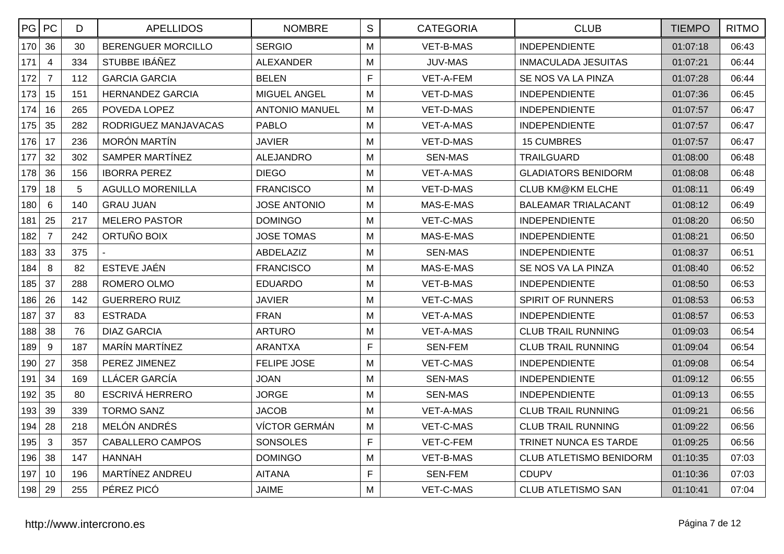| PG  | PC             | D   | <b>APELLIDOS</b>          | <b>NOMBRE</b>         | S           | <b>CATEGORIA</b> | <b>CLUB</b>                    | <b>TIEMPO</b> | <b>RITMO</b> |
|-----|----------------|-----|---------------------------|-----------------------|-------------|------------------|--------------------------------|---------------|--------------|
| 170 | 36             | 30  | <b>BERENGUER MORCILLO</b> | <b>SERGIO</b>         | M           | <b>VET-B-MAS</b> | <b>INDEPENDIENTE</b>           | 01:07:18      | 06:43        |
| 171 | $\overline{4}$ | 334 | STUBBE IBÁÑEZ             | <b>ALEXANDER</b>      | M           | <b>JUV-MAS</b>   | <b>INMACULADA JESUITAS</b>     | 01:07:21      | 06:44        |
| 172 | $\overline{7}$ | 112 | <b>GARCIA GARCIA</b>      | <b>BELEN</b>          | F           | VET-A-FEM        | SE NOS VA LA PINZA             | 01:07:28      | 06:44        |
| 173 | 15             | 151 | <b>HERNANDEZ GARCIA</b>   | MIGUEL ANGEL          | M           | VET-D-MAS        | <b>INDEPENDIENTE</b>           | 01:07:36      | 06:45        |
| 174 | 16             | 265 | POVEDA LOPEZ              | <b>ANTONIO MANUEL</b> | M           | VET-D-MAS        | <b>INDEPENDIENTE</b>           | 01:07:57      | 06:47        |
| 175 | 35             | 282 | RODRIGUEZ MANJAVACAS      | <b>PABLO</b>          | M           | VET-A-MAS        | <b>INDEPENDIENTE</b>           | 01:07:57      | 06:47        |
| 176 | 17             | 236 | <b>MORÓN MARTÍN</b>       | <b>JAVIER</b>         | M           | VET-D-MAS        | <b>15 CUMBRES</b>              | 01:07:57      | 06:47        |
| 177 | 32             | 302 | SAMPER MARTÍNEZ           | <b>ALEJANDRO</b>      | M           | <b>SEN-MAS</b>   | <b>TRAILGUARD</b>              | 01:08:00      | 06:48        |
| 178 | 36             | 156 | <b>IBORRA PEREZ</b>       | <b>DIEGO</b>          | M           | <b>VET-A-MAS</b> | <b>GLADIATORS BENIDORM</b>     | 01:08:08      | 06:48        |
| 179 | 18             | 5   | <b>AGULLO MORENILLA</b>   | <b>FRANCISCO</b>      | M           | VET-D-MAS        | <b>CLUB KM@KM ELCHE</b>        | 01:08:11      | 06:49        |
| 180 | 6              | 140 | <b>GRAU JUAN</b>          | <b>JOSE ANTONIO</b>   | M           | MAS-E-MAS        | <b>BALEAMAR TRIALACANT</b>     | 01:08:12      | 06:49        |
| 181 | 25             | 217 | <b>MELERO PASTOR</b>      | <b>DOMINGO</b>        | M           | VET-C-MAS        | <b>INDEPENDIENTE</b>           | 01:08:20      | 06:50        |
| 182 | $\overline{7}$ | 242 | ORTUÑO BOIX               | <b>JOSE TOMAS</b>     | M           | MAS-E-MAS        | <b>INDEPENDIENTE</b>           | 01:08:21      | 06:50        |
| 183 | 33             | 375 |                           | ABDELAZIZ             | M           | <b>SEN-MAS</b>   | <b>INDEPENDIENTE</b>           | 01:08:37      | 06:51        |
| 184 | 8              | 82  | ESTEVE JAÉN               | <b>FRANCISCO</b>      | M           | MAS-E-MAS        | SE NOS VA LA PINZA             | 01:08:40      | 06:52        |
| 185 | 37             | 288 | ROMERO OLMO               | <b>EDUARDO</b>        | M           | <b>VET-B-MAS</b> | <b>INDEPENDIENTE</b>           | 01:08:50      | 06:53        |
| 186 | 26             | 142 | <b>GUERRERO RUIZ</b>      | <b>JAVIER</b>         | M           | <b>VET-C-MAS</b> | SPIRIT OF RUNNERS              | 01:08:53      | 06:53        |
| 187 | 37             | 83  | <b>ESTRADA</b>            | <b>FRAN</b>           | M           | <b>VET-A-MAS</b> | <b>INDEPENDIENTE</b>           | 01:08:57      | 06:53        |
| 188 | 38             | 76  | <b>DIAZ GARCIA</b>        | <b>ARTURO</b>         | M           | VET-A-MAS        | <b>CLUB TRAIL RUNNING</b>      | 01:09:03      | 06:54        |
| 189 | 9              | 187 | <b>MARÍN MARTÍNEZ</b>     | <b>ARANTXA</b>        | F           | <b>SEN-FEM</b>   | <b>CLUB TRAIL RUNNING</b>      | 01:09:04      | 06:54        |
| 190 | 27             | 358 | PEREZ JIMENEZ             | <b>FELIPE JOSE</b>    | M           | <b>VET-C-MAS</b> | <b>INDEPENDIENTE</b>           | 01:09:08      | 06:54        |
| 191 | 34             | 169 | LLÁCER GARCÍA             | <b>JOAN</b>           | M           | <b>SEN-MAS</b>   | <b>INDEPENDIENTE</b>           | 01:09:12      | 06:55        |
| 192 | 35             | 80  | <b>ESCRIVÁ HERRERO</b>    | <b>JORGE</b>          | M           | <b>SEN-MAS</b>   | <b>INDEPENDIENTE</b>           | 01:09:13      | 06:55        |
| 193 | 39             | 339 | <b>TORMO SANZ</b>         | <b>JACOB</b>          | M           | VET-A-MAS        | <b>CLUB TRAIL RUNNING</b>      | 01:09:21      | 06:56        |
| 194 | 28             | 218 | MELÓN ANDRÉS              | VÍCTOR GERMÁN         | M           | VET-C-MAS        | <b>CLUB TRAIL RUNNING</b>      | 01:09:22      | 06:56        |
| 195 | $\mathbf{3}$   | 357 | <b>CABALLERO CAMPOS</b>   | <b>SONSOLES</b>       | $\mathsf F$ | VET-C-FEM        | TRINET NUNCA ES TARDE          | 01:09:25      | 06:56        |
| 196 | 38             | 147 | <b>HANNAH</b>             | <b>DOMINGO</b>        | M           | <b>VET-B-MAS</b> | <b>CLUB ATLETISMO BENIDORM</b> | 01:10:35      | 07:03        |
| 197 | 10             | 196 | MARTÍNEZ ANDREU           | <b>AITANA</b>         | F           | SEN-FEM          | <b>CDUPV</b>                   | 01:10:36      | 07:03        |
| 198 | 29             | 255 | PÉREZ PICÓ                | <b>JAIME</b>          | M           | VET-C-MAS        | <b>CLUB ATLETISMO SAN</b>      | 01:10:41      | 07:04        |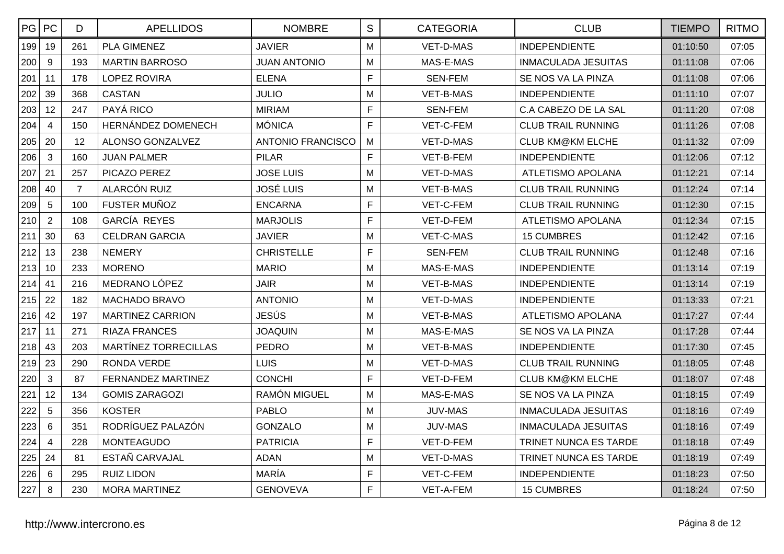|     | PG PC           | D              | <b>APELLIDOS</b>            | <b>NOMBRE</b>       | $\mathbf S$    | <b>CATEGORIA</b> | <b>CLUB</b>                | <b>TIEMPO</b> | <b>RITMO</b> |
|-----|-----------------|----------------|-----------------------------|---------------------|----------------|------------------|----------------------------|---------------|--------------|
| 199 | 19              | 261            | <b>PLA GIMENEZ</b>          | <b>JAVIER</b>       | M              | VET-D-MAS        | <b>INDEPENDIENTE</b>       | 01:10:50      | 07:05        |
| 200 | 9               | 193            | <b>MARTIN BARROSO</b>       | <b>JUAN ANTONIO</b> | M              | MAS-E-MAS        | <b>INMACULADA JESUITAS</b> | 01:11:08      | 07:06        |
| 201 | 11              | 178            | <b>LOPEZ ROVIRA</b>         | <b>ELENA</b>        | $\mathsf{F}$   | <b>SEN-FEM</b>   | SE NOS VA LA PINZA         | 01:11:08      | 07:06        |
| 202 | 39              | 368            | <b>CASTAN</b>               | <b>JULIO</b>        | M              | VET-B-MAS        | <b>INDEPENDIENTE</b>       | 01:11:10      | 07:07        |
| 203 | 12              | 247            | PAYÁ RICO                   | <b>MIRIAM</b>       | $\mathsf{F}$   | <b>SEN-FEM</b>   | C.A CABEZO DE LA SAL       | 01:11:20      | 07:08        |
| 204 | $\overline{4}$  | 150            | HERNÁNDEZ DOMENECH          | <b>MÓNICA</b>       | $\mathsf F$    | VET-C-FEM        | <b>CLUB TRAIL RUNNING</b>  | 01:11:26      | 07:08        |
| 205 | 20              | 12             | ALONSO GONZALVEZ            | ANTONIO FRANCISCO   | M              | VET-D-MAS        | <b>CLUB KM@KM ELCHE</b>    | 01:11:32      | 07:09        |
| 206 | $\mathbf{3}$    | 160            | <b>JUAN PALMER</b>          | <b>PILAR</b>        | $\mathsf F$    | VET-B-FEM        | <b>INDEPENDIENTE</b>       | 01:12:06      | 07:12        |
| 207 | 21              | 257            | PICAZO PEREZ                | JOSE LUIS           | M              | VET-D-MAS        | ATLETISMO APOLANA          | 01:12:21      | 07:14        |
| 208 | 40              | $\overline{7}$ | ALARCÓN RUIZ                | <b>JOSÉ LUIS</b>    | M              | VET-B-MAS        | <b>CLUB TRAIL RUNNING</b>  | 01:12:24      | 07:14        |
| 209 | 5               | 100            | FUSTER MUÑOZ                | <b>ENCARNA</b>      | $\mathsf{F}$   | VET-C-FEM        | <b>CLUB TRAIL RUNNING</b>  | 01:12:30      | 07:15        |
| 210 | $\overline{2}$  | 108            | GARCÍA REYES                | <b>MARJOLIS</b>     | $\mathsf F$    | VET-D-FEM        | <b>ATLETISMO APOLANA</b>   | 01:12:34      | 07:15        |
| 211 | 30              | 63             | <b>CELDRAN GARCIA</b>       | <b>JAVIER</b>       | M              | VET-C-MAS        | <b>15 CUMBRES</b>          | 01:12:42      | 07:16        |
| 212 | 13              | 238            | <b>NEMERY</b>               | <b>CHRISTELLE</b>   | $\mathsf F$    | <b>SEN-FEM</b>   | <b>CLUB TRAIL RUNNING</b>  | 01:12:48      | 07:16        |
| 213 | 10              | 233            | <b>MORENO</b>               | <b>MARIO</b>        | M              | MAS-E-MAS        | <b>INDEPENDIENTE</b>       | 01:13:14      | 07:19        |
| 214 | 41              | 216            | MEDRANO LÓPEZ               | <b>JAIR</b>         | M              | VET-B-MAS        | <b>INDEPENDIENTE</b>       | 01:13:14      | 07:19        |
| 215 | 22              | 182            | MACHADO BRAVO               | <b>ANTONIO</b>      | M              | VET-D-MAS        | <b>INDEPENDIENTE</b>       | 01:13:33      | 07:21        |
| 216 | 42              | 197            | <b>MARTINEZ CARRION</b>     | <b>JESÚS</b>        | M              | VET-B-MAS        | ATLETISMO APOLANA          | 01:17:27      | 07:44        |
| 217 | 11              | 271            | <b>RIAZA FRANCES</b>        | <b>JOAQUIN</b>      | M              | MAS-E-MAS        | SE NOS VA LA PINZA         | 01:17:28      | 07:44        |
| 218 | 43              | 203            | <b>MARTÍNEZ TORRECILLAS</b> | <b>PEDRO</b>        | M              | VET-B-MAS        | <b>INDEPENDIENTE</b>       | 01:17:30      | 07:45        |
| 219 | 23              | 290            | RONDA VERDE                 | <b>LUIS</b>         | M              | VET-D-MAS        | <b>CLUB TRAIL RUNNING</b>  | 01:18:05      | 07:48        |
| 220 | 3               | 87             | <b>FERNANDEZ MARTINEZ</b>   | <b>CONCHI</b>       | $\mathsf{F}$   | VET-D-FEM        | <b>CLUB KM@KM ELCHE</b>    | 01:18:07      | 07:48        |
| 221 | 12              | 134            | <b>GOMIS ZARAGOZI</b>       | RAMÓN MIGUEL        | M              | MAS-E-MAS        | SE NOS VA LA PINZA         | 01:18:15      | 07:49        |
| 222 | 5               | 356            | <b>KOSTER</b>               | <b>PABLO</b>        | M              | <b>JUV-MAS</b>   | <b>INMACULADA JESUITAS</b> | 01:18:16      | 07:49        |
| 223 | 6               | 351            | RODRÍGUEZ PALAZÓN           | <b>GONZALO</b>      | M              | <b>JUV-MAS</b>   | <b>INMACULADA JESUITAS</b> | 01:18:16      | 07:49        |
| 224 | $\overline{4}$  | 228            | <b>MONTEAGUDO</b>           | <b>PATRICIA</b>     | $\overline{F}$ | VET-D-FEM        | TRINET NUNCA ES TARDE      | 01:18:18      | 07:49        |
| 225 | 24              | 81             | ESTAÑ CARVAJAL              | <b>ADAN</b>         | M              | VET-D-MAS        | TRINET NUNCA ES TARDE      | 01:18:19      | 07:49        |
| 226 | $6\phantom{1}6$ | 295            | <b>RUIZ LIDON</b>           | MARÍA               | $\mathsf{F}$   | VET-C-FEM        | <b>INDEPENDIENTE</b>       | 01:18:23      | 07:50        |
| 227 | 8               | 230            | <b>MORA MARTINEZ</b>        | <b>GENOVEVA</b>     | $\mathsf{F}$   | VET-A-FEM        | <b>15 CUMBRES</b>          | 01:18:24      | 07:50        |
|     |                 |                |                             |                     |                |                  |                            |               |              |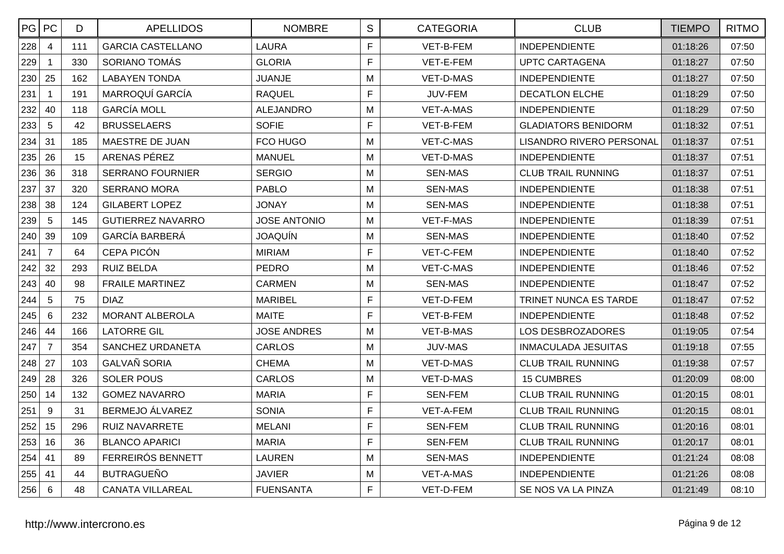| PG  | PC             | D   | <b>APELLIDOS</b>         | <b>NOMBRE</b>       | S            | <b>CATEGORIA</b> | <b>CLUB</b>                | <b>TIEMPO</b> | <b>RITMO</b> |
|-----|----------------|-----|--------------------------|---------------------|--------------|------------------|----------------------------|---------------|--------------|
| 228 | $\overline{4}$ | 111 | <b>GARCIA CASTELLANO</b> | <b>LAURA</b>        | F            | VET-B-FEM        | <b>INDEPENDIENTE</b>       | 01:18:26      | 07:50        |
| 229 |                | 330 | SORIANO TOMÁS            | <b>GLORIA</b>       | F            | VET-E-FEM        | <b>UPTC CARTAGENA</b>      | 01:18:27      | 07:50        |
| 230 | 25             | 162 | <b>LABAYEN TONDA</b>     | <b>JUANJE</b>       | M            | VET-D-MAS        | <b>INDEPENDIENTE</b>       | 01:18:27      | 07:50        |
| 231 | $\mathbf{1}$   | 191 | MARROQUÍ GARCÍA          | <b>RAQUEL</b>       | F            | JUV-FEM          | <b>DECATLON ELCHE</b>      | 01:18:29      | 07:50        |
| 232 | 40             | 118 | <b>GARCÍA MOLL</b>       | <b>ALEJANDRO</b>    | M            | <b>VET-A-MAS</b> | <b>INDEPENDIENTE</b>       | 01:18:29      | 07:50        |
| 233 | $\overline{5}$ | 42  | <b>BRUSSELAERS</b>       | <b>SOFIE</b>        | $\mathsf F$  | VET-B-FEM        | <b>GLADIATORS BENIDORM</b> | 01:18:32      | 07:51        |
| 234 | 31             | 185 | MAESTRE DE JUAN          | FCO HUGO            | M            | VET-C-MAS        | LISANDRO RIVERO PERSONAL   | 01:18:37      | 07:51        |
| 235 | 26             | 15  | ARENAS PÉREZ             | <b>MANUEL</b>       | M            | VET-D-MAS        | <b>INDEPENDIENTE</b>       | 01:18:37      | 07:51        |
| 236 | 36             | 318 | <b>SERRANO FOURNIER</b>  | <b>SERGIO</b>       | M            | <b>SEN-MAS</b>   | <b>CLUB TRAIL RUNNING</b>  | 01:18:37      | 07:51        |
| 237 | 37             | 320 | <b>SERRANO MORA</b>      | <b>PABLO</b>        | M            | <b>SEN-MAS</b>   | <b>INDEPENDIENTE</b>       | 01:18:38      | 07:51        |
| 238 | 38             | 124 | <b>GILABERT LOPEZ</b>    | <b>JONAY</b>        | м            | SEN-MAS          | <b>INDEPENDIENTE</b>       | 01:18:38      | 07:51        |
| 239 | $\sqrt{5}$     | 145 | <b>GUTIERREZ NAVARRO</b> | <b>JOSE ANTONIO</b> | M            | <b>VET-F-MAS</b> | <b>INDEPENDIENTE</b>       | 01:18:39      | 07:51        |
| 240 | 39             | 109 | GARCÍA BARBERÁ           | <b>JOAQUÍN</b>      | M            | <b>SEN-MAS</b>   | <b>INDEPENDIENTE</b>       | 01:18:40      | 07:52        |
| 241 | $\overline{7}$ | 64  | <b>CEPA PICÓN</b>        | <b>MIRIAM</b>       | F            | VET-C-FEM        | <b>INDEPENDIENTE</b>       | 01:18:40      | 07:52        |
| 242 | 32             | 293 | <b>RUIZ BELDA</b>        | <b>PEDRO</b>        | м            | VET-C-MAS        | <b>INDEPENDIENTE</b>       | 01:18:46      | 07:52        |
| 243 | 40             | 98  | FRAILE MARTINEZ          | <b>CARMEN</b>       | м            | <b>SEN-MAS</b>   | <b>INDEPENDIENTE</b>       | 01:18:47      | 07:52        |
| 244 | 5              | 75  | <b>DIAZ</b>              | <b>MARIBEL</b>      | $\mathsf{F}$ | VET-D-FEM        | TRINET NUNCA ES TARDE      | 01:18:47      | 07:52        |
| 245 | 6              | 232 | <b>MORANT ALBEROLA</b>   | MAITE               | F            | VET-B-FEM        | <b>INDEPENDIENTE</b>       | 01:18:48      | 07:52        |
| 246 | 44             | 166 | <b>LATORRE GIL</b>       | <b>JOSE ANDRES</b>  | M            | VET-B-MAS        | LOS DESBROZADORES          | 01:19:05      | 07:54        |
| 247 | $\overline{7}$ | 354 | SANCHEZ URDANETA         | <b>CARLOS</b>       | M            | <b>JUV-MAS</b>   | <b>INMACULADA JESUITAS</b> | 01:19:18      | 07:55        |
| 248 | 27             | 103 | <b>GALVAÑ SORIA</b>      | <b>CHEMA</b>        | м            | VET-D-MAS        | <b>CLUB TRAIL RUNNING</b>  | 01:19:38      | 07:57        |
| 249 | 28             | 326 | <b>SOLER POUS</b>        | <b>CARLOS</b>       | M            | VET-D-MAS        | <b>15 CUMBRES</b>          | 01:20:09      | 08:00        |
| 250 | 14             | 132 | <b>GOMEZ NAVARRO</b>     | <b>MARIA</b>        | F            | SEN-FEM          | <b>CLUB TRAIL RUNNING</b>  | 01:20:15      | 08:01        |
| 251 | $\overline{9}$ | 31  | BERMEJO ÁLVAREZ          | <b>SONIA</b>        | F            | VET-A-FEM        | <b>CLUB TRAIL RUNNING</b>  | 01:20:15      | 08:01        |
| 252 | 15             | 296 | <b>RUIZ NAVARRETE</b>    | <b>MELANI</b>       | F            | <b>SEN-FEM</b>   | <b>CLUB TRAIL RUNNING</b>  | 01:20:16      | 08:01        |
| 253 | 16             | 36  | <b>BLANCO APARICI</b>    | <b>MARIA</b>        | F            | <b>SEN-FEM</b>   | <b>CLUB TRAIL RUNNING</b>  | 01:20:17      | 08:01        |
| 254 | 41             | 89  | FERREIRÓS BENNETT        | <b>LAUREN</b>       | M            | <b>SEN-MAS</b>   | <b>INDEPENDIENTE</b>       | 01:21:24      | 08:08        |
| 255 | 41             | 44  | <b>BUTRAGUEÑO</b>        | <b>JAVIER</b>       | м            | VET-A-MAS        | <b>INDEPENDIENTE</b>       | 01:21:26      | 08:08        |
| 256 | 6              | 48  | <b>CANATA VILLAREAL</b>  | <b>FUENSANTA</b>    | F            | VET-D-FEM        | SE NOS VA LA PINZA         | 01:21:49      | 08:10        |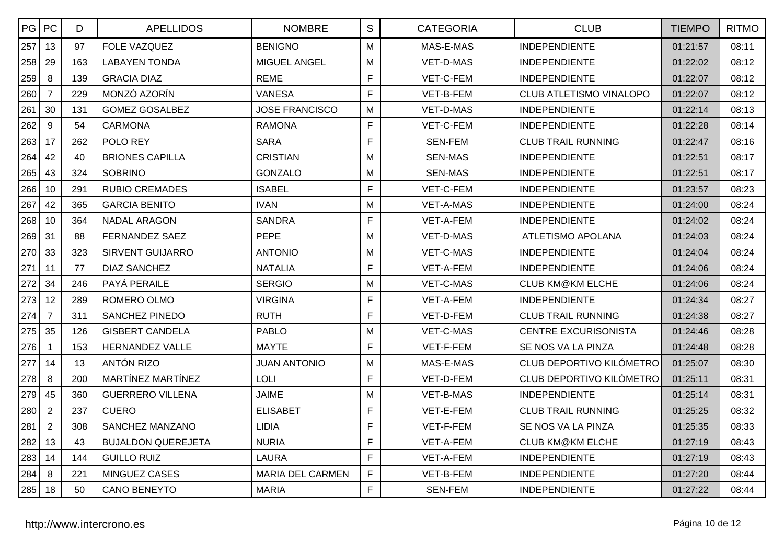| PG  | PC             | D   | <b>APELLIDOS</b>          | <b>NOMBRE</b>           | S | <b>CATEGORIA</b> | <b>CLUB</b>                 | <b>TIEMPO</b> | <b>RITMO</b> |
|-----|----------------|-----|---------------------------|-------------------------|---|------------------|-----------------------------|---------------|--------------|
| 257 | 13             | 97  | FOLE VAZQUEZ              | <b>BENIGNO</b>          | M | MAS-E-MAS        | <b>INDEPENDIENTE</b>        | 01:21:57      | 08:11        |
| 258 | 29             | 163 | <b>LABAYEN TONDA</b>      | MIGUEL ANGEL            | M | VET-D-MAS        | <b>INDEPENDIENTE</b>        | 01:22:02      | 08:12        |
| 259 | 8              | 139 | <b>GRACIA DIAZ</b>        | <b>REME</b>             | F | VET-C-FEM        | <b>INDEPENDIENTE</b>        | 01:22:07      | 08:12        |
| 260 | $\overline{7}$ | 229 | MONZÓ AZORÍN              | <b>VANESA</b>           | F | VET-B-FEM        | CLUB ATLETISMO VINALOPO     | 01:22:07      | 08:12        |
| 261 | 30             | 131 | <b>GOMEZ GOSALBEZ</b>     | <b>JOSE FRANCISCO</b>   | M | VET-D-MAS        | <b>INDEPENDIENTE</b>        | 01:22:14      | 08:13        |
| 262 | 9              | 54  | <b>CARMONA</b>            | <b>RAMONA</b>           | F | VET-C-FEM        | <b>INDEPENDIENTE</b>        | 01:22:28      | 08:14        |
| 263 | 17             | 262 | POLO REY                  | <b>SARA</b>             | F | <b>SEN-FEM</b>   | <b>CLUB TRAIL RUNNING</b>   | 01:22:47      | 08:16        |
| 264 | 42             | 40  | <b>BRIONES CAPILLA</b>    | <b>CRISTIAN</b>         | M | <b>SEN-MAS</b>   | <b>INDEPENDIENTE</b>        | 01:22:51      | 08:17        |
| 265 | 43             | 324 | <b>SOBRINO</b>            | <b>GONZALO</b>          | M | <b>SEN-MAS</b>   | <b>INDEPENDIENTE</b>        | 01:22:51      | 08:17        |
| 266 | 10             | 291 | <b>RUBIO CREMADES</b>     | <b>ISABEL</b>           | F | VET-C-FEM        | <b>INDEPENDIENTE</b>        | 01:23:57      | 08:23        |
| 267 | 42             | 365 | <b>GARCIA BENITO</b>      | <b>IVAN</b>             | M | VET-A-MAS        | <b>INDEPENDIENTE</b>        | 01:24:00      | 08:24        |
| 268 | 10             | 364 | <b>NADAL ARAGON</b>       | <b>SANDRA</b>           | F | VET-A-FEM        | <b>INDEPENDIENTE</b>        | 01:24:02      | 08:24        |
| 269 | 31             | 88  | FERNANDEZ SAEZ            | <b>PEPE</b>             | M | VET-D-MAS        | ATLETISMO APOLANA           | 01:24:03      | 08:24        |
| 270 | 33             | 323 | <b>SIRVENT GUIJARRO</b>   | <b>ANTONIO</b>          | M | VET-C-MAS        | <b>INDEPENDIENTE</b>        | 01:24:04      | 08:24        |
| 271 | 11             | 77  | <b>DIAZ SANCHEZ</b>       | <b>NATALIA</b>          | F | VET-A-FEM        | <b>INDEPENDIENTE</b>        | 01:24:06      | 08:24        |
| 272 | 34             | 246 | PAYÁ PERAILE              | <b>SERGIO</b>           | M | VET-C-MAS        | <b>CLUB KM@KM ELCHE</b>     | 01:24:06      | 08:24        |
| 273 | 12             | 289 | ROMERO OLMO               | <b>VIRGINA</b>          | F | VET-A-FEM        | <b>INDEPENDIENTE</b>        | 01:24:34      | 08:27        |
| 274 | $\overline{7}$ | 311 | <b>SANCHEZ PINEDO</b>     | <b>RUTH</b>             | F | VET-D-FEM        | <b>CLUB TRAIL RUNNING</b>   | 01:24:38      | 08:27        |
| 275 | 35             | 126 | <b>GISBERT CANDELA</b>    | <b>PABLO</b>            | M | VET-C-MAS        | <b>CENTRE EXCURISONISTA</b> | 01:24:46      | 08:28        |
| 276 |                | 153 | <b>HERNANDEZ VALLE</b>    | <b>MAYTE</b>            | F | VET-F-FEM        | SE NOS VA LA PINZA          | 01:24:48      | 08:28        |
| 277 | 14             | 13  | ANTÓN RIZO                | <b>JUAN ANTONIO</b>     | M | MAS-E-MAS        | CLUB DEPORTIVO KILÓMETRO    | 01:25:07      | 08:30        |
| 278 | 8              | 200 | MARTÍNEZ MARTÍNEZ         | <b>LOLI</b>             | F | VET-D-FEM        | CLUB DEPORTIVO KILÓMETRO    | 01:25:11      | 08:31        |
| 279 | 45             | 360 | <b>GUERRERO VILLENA</b>   | <b>JAIME</b>            | M | VET-B-MAS        | <b>INDEPENDIENTE</b>        | 01:25:14      | 08:31        |
| 280 | $\overline{2}$ | 237 | <b>CUERO</b>              | <b>ELISABET</b>         | F | VET-E-FEM        | <b>CLUB TRAIL RUNNING</b>   | 01:25:25      | 08:32        |
| 281 | $\overline{2}$ | 308 | SANCHEZ MANZANO           | <b>LIDIA</b>            | F | VET-F-FEM        | SE NOS VA LA PINZA          | 01:25:35      | 08:33        |
| 282 | 13             | 43  | <b>BUJALDON QUEREJETA</b> | <b>NURIA</b>            | F | VET-A-FEM        | <b>CLUB KM@KM ELCHE</b>     | 01:27:19      | 08:43        |
| 283 | 14             | 144 | <b>GUILLO RUIZ</b>        | LAURA                   | F | VET-A-FEM        | <b>INDEPENDIENTE</b>        | 01:27:19      | 08:43        |
| 284 | 8              | 221 | <b>MINGUEZ CASES</b>      | <b>MARIA DEL CARMEN</b> | F | VET-B-FEM        | <b>INDEPENDIENTE</b>        | 01:27:20      | 08:44        |
| 285 | 18             | 50  | <b>CANO BENEYTO</b>       | <b>MARIA</b>            | F | <b>SEN-FEM</b>   | <b>INDEPENDIENTE</b>        | 01:27:22      | 08:44        |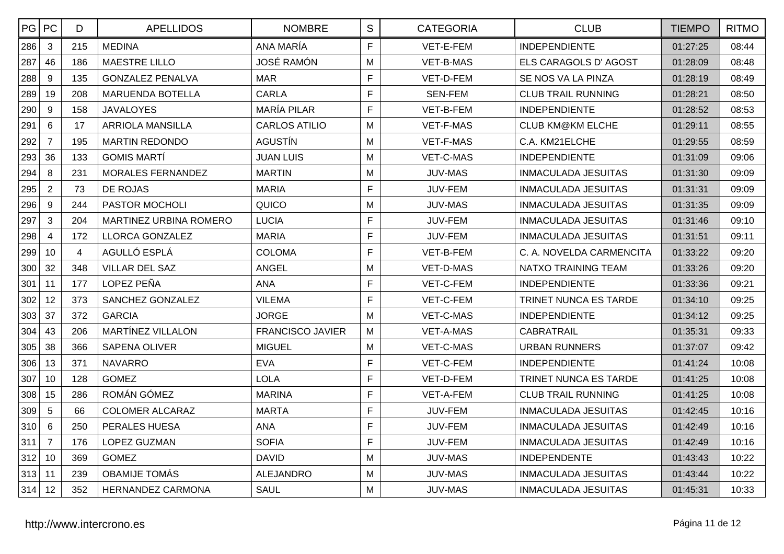| PG  | PC              | D              | <b>APELLIDOS</b>              | <b>NOMBRE</b>           | S            | <b>CATEGORIA</b> | <b>CLUB</b>                | <b>TIEMPO</b> | <b>RITMO</b> |
|-----|-----------------|----------------|-------------------------------|-------------------------|--------------|------------------|----------------------------|---------------|--------------|
| 286 | 3               | 215            | <b>MEDINA</b>                 | ANA MARÍA               | F            | VET-E-FEM        | <b>INDEPENDIENTE</b>       | 01:27:25      | 08:44        |
| 287 | 46              | 186            | <b>MAESTRE LILLO</b>          | <b>JOSÉ RAMÓN</b>       | M            | VET-B-MAS        | ELS CARAGOLS D' AGOST      | 01:28:09      | 08:48        |
| 288 | 9               | 135            | <b>GONZALEZ PENALVA</b>       | <b>MAR</b>              | F            | VET-D-FEM        | SE NOS VA LA PINZA         | 01:28:19      | 08:49        |
| 289 | 19              | 208            | <b>MARUENDA BOTELLA</b>       | <b>CARLA</b>            | F            | <b>SEN-FEM</b>   | <b>CLUB TRAIL RUNNING</b>  | 01:28:21      | 08:50        |
| 290 | 9               | 158            | <b>JAVALOYES</b>              | <b>MARÍA PILAR</b>      | F            | VET-B-FEM        | <b>INDEPENDIENTE</b>       | 01:28:52      | 08:53        |
| 291 | $6\phantom{a}$  | 17             | <b>ARRIOLA MANSILLA</b>       | <b>CARLOS ATILIO</b>    | M            | VET-F-MAS        | <b>CLUB KM@KM ELCHE</b>    | 01:29:11      | 08:55        |
| 292 | $\overline{7}$  | 195            | <b>MARTIN REDONDO</b>         | <b>AGUSTIN</b>          | M            | VET-F-MAS        | C.A. KM21ELCHE             | 01:29:55      | 08:59        |
| 293 | 36              | 133            | <b>GOMIS MARTÍ</b>            | <b>JUAN LUIS</b>        | M            | VET-C-MAS        | <b>INDEPENDIENTE</b>       | 01:31:09      | 09:06        |
| 294 | 8               | 231            | MORALES FERNANDEZ             | <b>MARTIN</b>           | M            | <b>JUV-MAS</b>   | INMACULADA JESUITAS        | 01:31:30      | 09:09        |
| 295 | 2               | 73             | DE ROJAS                      | <b>MARIA</b>            | F            | JUV-FEM          | <b>INMACULADA JESUITAS</b> | 01:31:31      | 09:09        |
| 296 | $9\,$           | 244            | PASTOR MOCHOLI                | QUICO                   | м            | <b>JUV-MAS</b>   | <b>INMACULADA JESUITAS</b> | 01:31:35      | 09:09        |
| 297 | $\mathbf{3}$    | 204            | <b>MARTINEZ URBINA ROMERO</b> | <b>LUCIA</b>            | F            | JUV-FEM          | <b>INMACULADA JESUITAS</b> | 01:31:46      | 09:10        |
| 298 | $\overline{4}$  | 172            | LLORCA GONZALEZ               | <b>MARIA</b>            | F            | JUV-FEM          | <b>INMACULADA JESUITAS</b> | 01:31:51      | 09:11        |
| 299 | 10              | $\overline{4}$ | AGULLÓ ESPLÁ                  | <b>COLOMA</b>           | F            | VET-B-FEM        | C. A. NOVELDA CARMENCITA   | 01:33:22      | 09:20        |
| 300 | 32              | 348            | <b>VILLAR DEL SAZ</b>         | <b>ANGEL</b>            | M            | VET-D-MAS        | NATXO TRAINING TEAM        | 01:33:26      | 09:20        |
| 301 | 11              | 177            | LOPEZ PEÑA                    | <b>ANA</b>              | $\mathsf{F}$ | VET-C-FEM        | <b>INDEPENDIENTE</b>       | 01:33:36      | 09:21        |
| 302 | 12              | 373            | SANCHEZ GONZALEZ              | <b>VILEMA</b>           | $\mathsf{F}$ | VET-C-FEM        | TRINET NUNCA ES TARDE      | 01:34:10      | 09:25        |
| 303 | 37              | 372            | <b>GARCIA</b>                 | <b>JORGE</b>            | M            | VET-C-MAS        | <b>INDEPENDIENTE</b>       | 01:34:12      | 09:25        |
| 304 | 43              | 206            | <b>MARTÍNEZ VILLALON</b>      | <b>FRANCISCO JAVIER</b> | M            | <b>VET-A-MAS</b> | <b>CABRATRAIL</b>          | 01:35:31      | 09:33        |
| 305 | 38              | 366            | <b>SAPENA OLIVER</b>          | <b>MIGUEL</b>           | M            | VET-C-MAS        | <b>URBAN RUNNERS</b>       | 01:37:07      | 09:42        |
| 306 | 13              | 371            | <b>NAVARRO</b>                | <b>EVA</b>              | F            | VET-C-FEM        | <b>INDEPENDIENTE</b>       | 01:41:24      | 10:08        |
| 307 | 10              | 128            | <b>GOMEZ</b>                  | <b>LOLA</b>             | F            | VET-D-FEM        | TRINET NUNCA ES TARDE      | 01:41:25      | 10:08        |
| 308 | 15              | 286            | ROMÁN GÓMEZ                   | <b>MARINA</b>           | F            | VET-A-FEM        | <b>CLUB TRAIL RUNNING</b>  | 01:41:25      | 10:08        |
| 309 | $\overline{5}$  | 66             | <b>COLOMER ALCARAZ</b>        | <b>MARTA</b>            | F            | JUV-FEM          | <b>INMACULADA JESUITAS</b> | 01:42:45      | 10:16        |
| 310 | $6\phantom{1}6$ | 250            | PERALES HUESA                 | <b>ANA</b>              | F            | JUV-FEM          | <b>INMACULADA JESUITAS</b> | 01:42:49      | 10:16        |
| 311 | $\overline{7}$  | 176            | <b>LOPEZ GUZMAN</b>           | <b>SOFIA</b>            | F            | JUV-FEM          | <b>INMACULADA JESUITAS</b> | 01:42:49      | 10:16        |
| 312 | 10              | 369            | <b>GOMEZ</b>                  | <b>DAVID</b>            | M            | <b>JUV-MAS</b>   | <b>INDEPENDENTE</b>        | 01:43:43      | 10:22        |
| 313 | 11              | 239            | <b>OBAMIJE TOMÁS</b>          | <b>ALEJANDRO</b>        | M            | <b>JUV-MAS</b>   | <b>INMACULADA JESUITAS</b> | 01:43:44      | 10:22        |
| 314 | 12              | 352            | <b>HERNANDEZ CARMONA</b>      | <b>SAUL</b>             | M            | <b>JUV-MAS</b>   | <b>INMACULADA JESUITAS</b> | 01:45:31      | 10:33        |